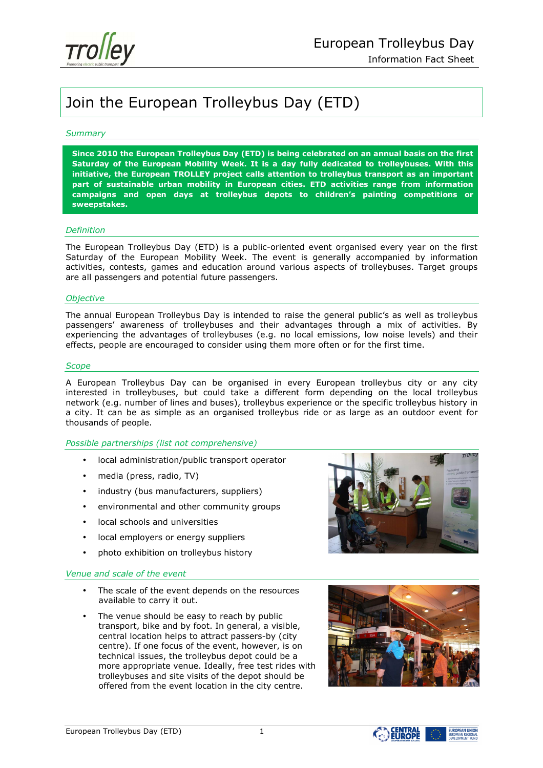

# Join the European Trolleybus Day (ETD)

# *Summary*

**Since 2010 the European Trolleybus Day (ETD) is being celebrated on an annual basis on the first Saturday of the European Mobility Week. It is a day fully dedicated to trolleybuses. With this initiative, the European TROLLEY project calls attention to trolleybus transport as an important part of sustainable urban mobility in European cities. ETD activities range from information campaigns and open days at trolleybus depots to children's painting competitions or sweepstakes.** 

#### *Definition*

The European Trolleybus Day (ETD) is a public-oriented event organised every year on the first Saturday of the European Mobility Week. The event is generally accompanied by information activities, contests, games and education around various aspects of trolleybuses. Target groups are all passengers and potential future passengers.

#### *Objective*

The annual European Trolleybus Day is intended to raise the general public's as well as trolleybus passengers' awareness of trolleybuses and their advantages through a mix of activities. By experiencing the advantages of trolleybuses (e.g. no local emissions, low noise levels) and their effects, people are encouraged to consider using them more often or for the first time.

#### *Scope*

A European Trolleybus Day can be organised in every European trolleybus city or any city interested in trolleybuses, but could take a different form depending on the local trolleybus network (e.g. number of lines and buses), trolleybus experience or the specific trolleybus history in a city. It can be as simple as an organised trolleybus ride or as large as an outdoor event for thousands of people.

# *Possible partnerships (list not comprehensive)*

- local administration/public transport operator
- media (press, radio, TV)
- industry (bus manufacturers, suppliers)
- environmental and other community groups
- local schools and universities
- local employers or energy suppliers
- photo exhibition on trolleybus history

# *Venue and scale of the event*

- The scale of the event depends on the resources available to carry it out.
- The venue should be easy to reach by public transport, bike and by foot. In general, a visible, central location helps to attract passers-by (city centre). If one focus of the event, however, is on technical issues, the trolleybus depot could be a more appropriate venue. Ideally, free test rides with trolleybuses and site visits of the depot should be offered from the event location in the city centre.







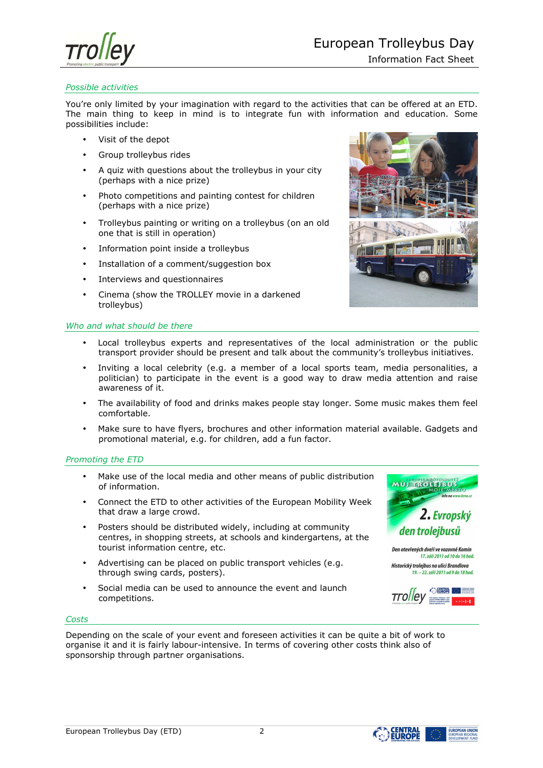

# *Possible activities*

You're only limited by your imagination with regard to the activities that can be offered at an ETD. The main thing to keep in mind is to integrate fun with information and education. Some possibilities include:

- Visit of the depot
- Group trolleybus rides
- A quiz with questions about the trolleybus in your city (perhaps with a nice prize)
- Photo competitions and painting contest for children (perhaps with a nice prize)
- Trolleybus painting or writing on a trolleybus (on an old one that is still in operation)
- Information point inside a trolleybus
- Installation of a comment/suggestion box
- Interviews and questionnaires
- Cinema (show the TROLLEY movie in a darkened trolleybus)



# *Who and what should be there*

- Local trolleybus experts and representatives of the local administration or the public transport provider should be present and talk about the community's trolleybus initiatives.
- Inviting a local celebrity (e.g. a member of a local sports team, media personalities, a politician) to participate in the event is a good way to draw media attention and raise awareness of it.
- The availability of food and drinks makes people stay longer. Some music makes them feel comfortable.
- Make sure to have flyers, brochures and other information material available. Gadgets and promotional material, e.g. for children, add a fun factor.

# *Promoting the ETD*

- Make use of the local media and other means of public distribution of information.
- Connect the ETD to other activities of the European Mobility Week that draw a large crowd.
- Posters should be distributed widely, including at community centres, in shopping streets, at schools and kindergartens, at the tourist information centre, etc.
- Advertising can be placed on public transport vehicles (e.g. through swing cards, posters).
- Social media can be used to announce the event and launch competitions.



17. září 2011 od 10 do 16 hod. Historický trolejbus na ulici Brandlova 19. - 22. září 2011 od 9 do 18 hod.

#### *Costs*

Depending on the scale of your event and foreseen activities it can be quite a bit of work to organise it and it is fairly labour-intensive. In terms of covering other costs think also of sponsorship through partner organisations.



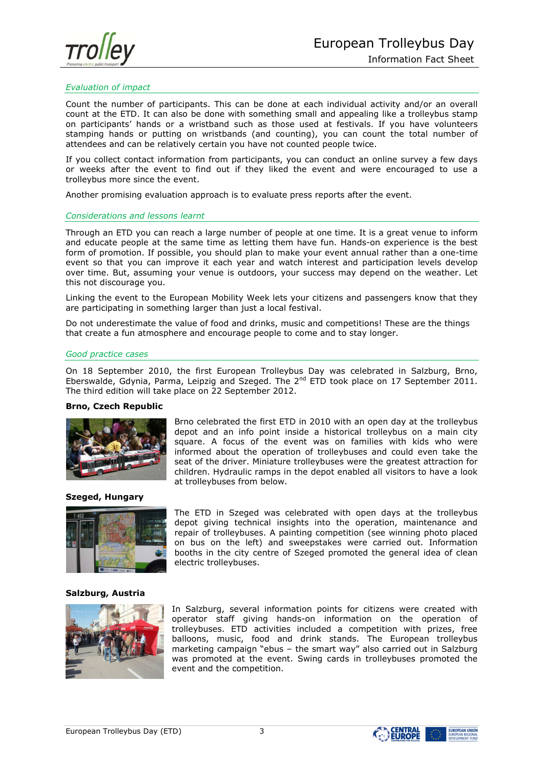

# *Evaluation of impact*

Count the number of participants. This can be done at each individual activity and/or an overall count at the ETD. It can also be done with something small and appealing like a trolleybus stamp on participants' hands or a wristband such as those used at festivals. If you have volunteers stamping hands or putting on wristbands (and counting), you can count the total number of attendees and can be relatively certain you have not counted people twice.

If you collect contact information from participants, you can conduct an online survey a few days or weeks after the event to find out if they liked the event and were encouraged to use a trolleybus more since the event.

Another promising evaluation approach is to evaluate press reports after the event.

# *Considerations and lessons learnt*

Through an ETD you can reach a large number of people at one time. It is a great venue to inform and educate people at the same time as letting them have fun. Hands-on experience is the best form of promotion. If possible, you should plan to make your event annual rather than a one-time event so that you can improve it each year and watch interest and participation levels develop over time. But, assuming your venue is outdoors, your success may depend on the weather. Let this not discourage you.

Linking the event to the European Mobility Week lets your citizens and passengers know that they are participating in something larger than just a local festival.

Do not underestimate the value of food and drinks, music and competitions! These are the things that create a fun atmosphere and encourage people to come and to stay longer.

#### *Good practice cases*

On 18 September 2010, the first European Trolleybus Day was celebrated in Salzburg, Brno, Eberswalde, Gdynia, Parma, Leipzig and Szeged. The  $2<sup>nd</sup>$  ETD took place on 17 September 2011. The third edition will take place on 22 September 2012.

#### **Brno, Czech Republic**



Brno celebrated the first ETD in 2010 with an open day at the trolleybus depot and an info point inside a historical trolleybus on a main city square. A focus of the event was on families with kids who were informed about the operation of trolleybuses and could even take the seat of the driver. Miniature trolleybuses were the greatest attraction for children. Hydraulic ramps in the depot enabled all visitors to have a look at trolleybuses from below.

# **Szeged, Hungary**



The ETD in Szeged was celebrated with open days at the trolleybus depot giving technical insights into the operation, maintenance and repair of trolleybuses. A painting competition (see winning photo placed on bus on the left) and sweepstakes were carried out. Information booths in the city centre of Szeged promoted the general idea of clean electric trolleybuses.

### **Salzburg, Austria**



In Salzburg, several information points for citizens were created with operator staff giving hands-on information on the operation of trolleybuses. ETD activities included a competition with prizes, free balloons, music, food and drink stands. The European trolleybus marketing campaign "ebus – the smart way" also carried out in Salzburg was promoted at the event. Swing cards in trolleybuses promoted the event and the competition.



**EUROPEAN UNION**